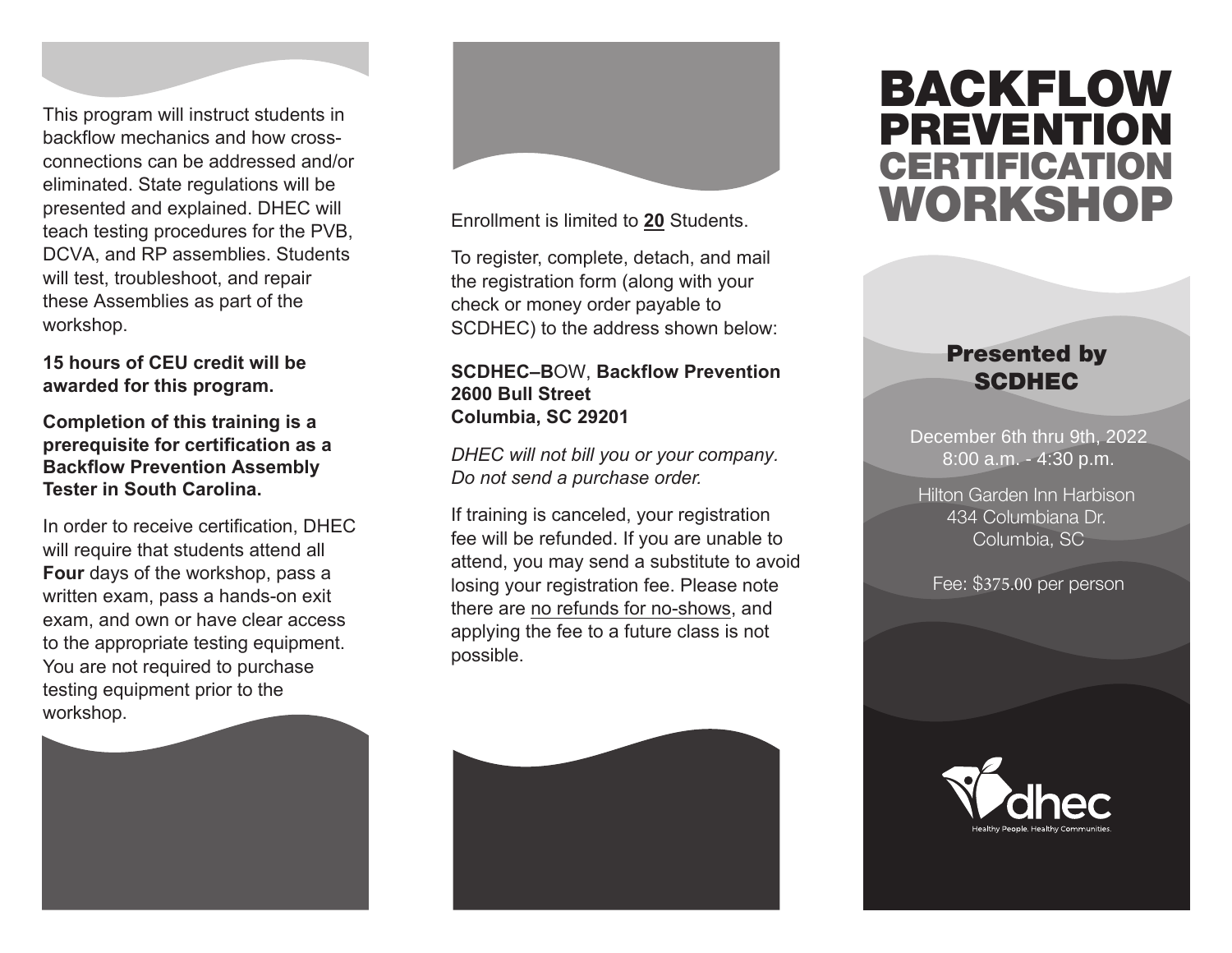This program will instruct students in backflow mechanics and how crossconnections can be addressed and/or eliminated. State regulations will be presented and explained. DHEC will teach testing procedures for the PVB, DCVA, and RP assemblies. Students will test, troubleshoot, and repair these Assemblies as part of the workshop.

**15 hours of CEU credit will be awarded for this program.**

**Completion of this training is a prerequisite for certification as a Backflow Prevention Assembly Tester in South Carolina.**

In order to receive certification, DHEC will require that students attend all **Four** days of the workshop, pass a written exam, pass a hands-on exit exam, and own or have clear access to the appropriate testing equipment. You are not required to purchase testing equipment prior to the workshop.





Enrollment is limited to **20** Students.

To register, complete, detach, and mail the registration form (along with your check or money order payable to SCDHEC) to the address shown below:

#### **SCDHEC–B**OW, **Backflow Prevention 2600 Bull Street Columbia, SC 29201**

*DHEC will not bill you or your company. Do not send a purchase order.*

If training is canceled, your registration fee will be refunded. If you are unable to attend, you may send a substitute to avoid losing your registration fee. Please note there are no refunds for no-shows, and applying the fee to a future class is not possible.



# BACKFLOW PREVENTION **CERTIFICATION** WORKSHOP

### Presented by SCDHEC

December 6th thru 9th, 2022 8:00 a.m. - 4:30 p.m.

Hilton Garden Inn Harbison 434 Columbiana Dr. Columbia, SC

Fee: \$375.00 per person